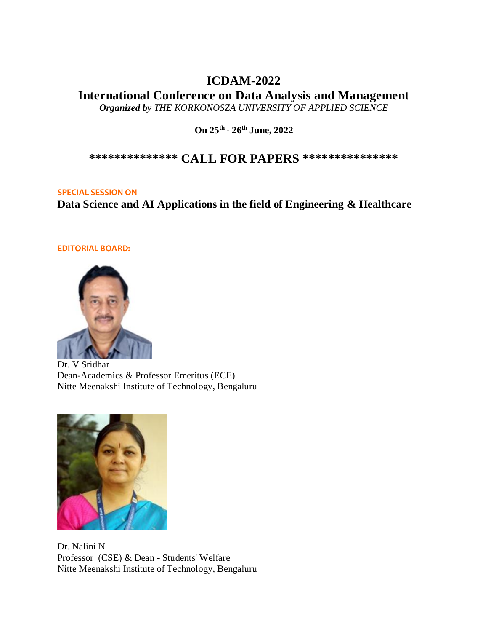# **ICDAM-2022**

**International Conference on Data Analysis and Management**

*Organized by THE KORKONOSZA UNIVERSITY OF APPLIED SCIENCE* 

**On 25th - 26th June, 2022**

**\*\*\*\*\*\*\*\*\*\*\*\*\*\* CALL FOR PAPERS \*\*\*\*\*\*\*\*\*\*\*\*\*\*\***

## **SPECIAL SESSION ON**

**Data Science and AI Applications in the field of Engineering & Healthcare**

## **EDITORIAL BOARD:**



Dr. V Sridhar Dean-Academics & Professor Emeritus (ECE) Nitte Meenakshi Institute of Technology, Bengaluru



Dr. Nalini N Professor (CSE) & Dean - Students' Welfare Nitte Meenakshi Institute of Technology, Bengaluru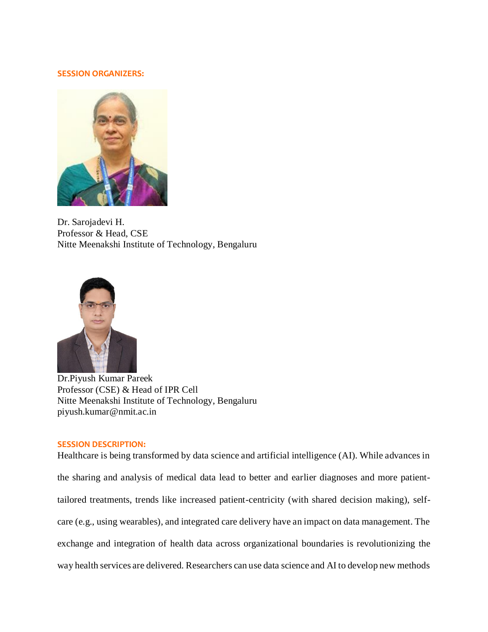#### **SESSION ORGANIZERS:**



Dr. Sarojadevi H. Professor & Head, CSE Nitte Meenakshi Institute of Technology, Bengaluru



Dr.Piyush Kumar Pareek Professor (CSE) & Head of IPR Cell Nitte Meenakshi Institute of Technology, Bengaluru piyush.kumar@nmit.ac.in

### **SESSION DESCRIPTION:**

Healthcare is being transformed by data science and artificial intelligence (AI). While advances in the sharing and analysis of medical data lead to better and earlier diagnoses and more patienttailored treatments, trends like increased patient-centricity (with shared decision making), selfcare (e.g., using wearables), and integrated care delivery have an impact on data management. The exchange and integration of health data across organizational boundaries is revolutionizing the way health services are delivered. Researchers can use data science and AI to develop new methods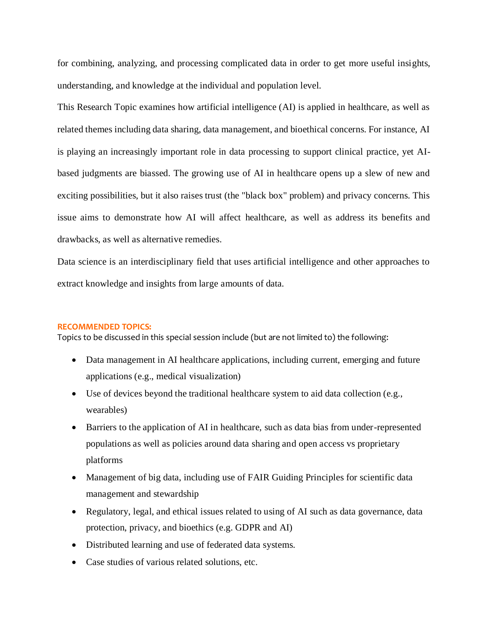for combining, analyzing, and processing complicated data in order to get more useful insights, understanding, and knowledge at the individual and population level.

This Research Topic examines how artificial intelligence (AI) is applied in healthcare, as well as related themes including data sharing, data management, and bioethical concerns. For instance, AI is playing an increasingly important role in data processing to support clinical practice, yet AIbased judgments are biassed. The growing use of AI in healthcare opens up a slew of new and exciting possibilities, but it also raises trust (the "black box" problem) and privacy concerns. This issue aims to demonstrate how AI will affect healthcare, as well as address its benefits and drawbacks, as well as alternative remedies.

Data science is an interdisciplinary field that uses artificial intelligence and other approaches to extract knowledge and insights from large amounts of data.

#### **RECOMMENDED TOPICS:**

Topics to be discussed in this special session include (but are not limited to) the following:

- Data management in AI healthcare applications, including current, emerging and future applications (e.g., medical visualization)
- Use of devices beyond the traditional healthcare system to aid data collection (e.g., wearables)
- Barriers to the application of AI in healthcare, such as data bias from under-represented populations as well as policies around data sharing and open access vs proprietary platforms
- Management of big data, including use of FAIR Guiding Principles for scientific data management and stewardship
- Regulatory, legal, and ethical issues related to using of AI such as data governance, data protection, privacy, and bioethics (e.g. GDPR and AI)
- Distributed learning and use of federated data systems.
- Case studies of various related solutions, etc.